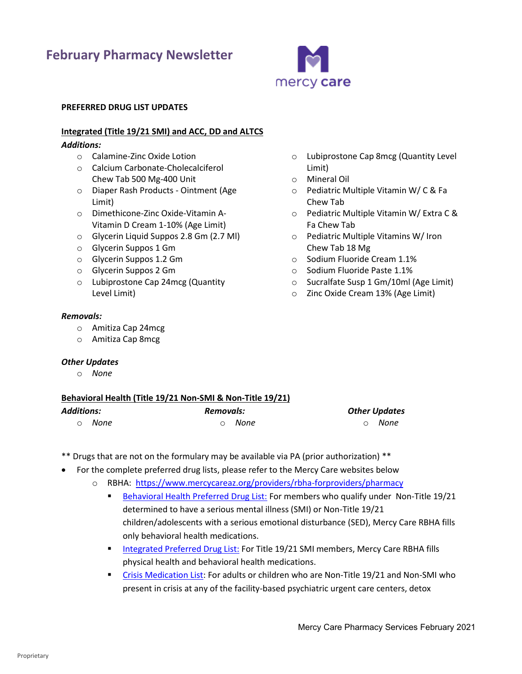# **February Pharmacy Newsletter**



Limit) o Mineral Oil

Chew Tab

Fa Chew Tab

Chew Tab 18 Mg

o Lubiprostone Cap 8mcg (Quantity Level

o Pediatric Multiple Vitamin W/ C & Fa

o Pediatric Multiple Vitamins W/ Iron

o Sucralfate Susp 1 Gm/10ml (Age Limit) o Zinc Oxide Cream 13% (Age Limit)

o Sodium Fluoride Cream 1.1% o Sodium Fluoride Paste 1.1%

o Pediatric Multiple Vitamin W/ Extra C &

#### **PREFERRED DRUG LIST UPDATES**

# **Integrated (Title 19/21 SMI) and ACC, DD and ALTCS**

# *Additions:*

- o Calamine-Zinc Oxide Lotion
- o Calcium Carbonate-Cholecalciferol Chew Tab 500 Mg-400 Unit
- o Diaper Rash Products Ointment (Age Limit)
- o Dimethicone-Zinc Oxide-Vitamin A-Vitamin D Cream 1-10% (Age Limit)
- o Glycerin Liquid Suppos 2.8 Gm (2.7 Ml)
- o Glycerin Suppos 1 Gm
- o Glycerin Suppos 1.2 Gm
- o Glycerin Suppos 2 Gm
- o Lubiprostone Cap 24mcg (Quantity Level Limit)

## *Removals:*

- o Amitiza Cap 24mcg
- o Amitiza Cap 8mcg

#### *Other Updates*

o *None*

# **Behavioral Health (Title 19/21 Non-SMI & Non-Title 19/21)**

| Additions: |        | Removals: |        | <b>Other Updates</b> |        |
|------------|--------|-----------|--------|----------------------|--------|
|            | റ None |           | ⊙ None |                      | റ None |

- \*\* Drugs that are not on the formulary may be available via PA (prior authorization) \*\*
- For the complete preferred drug lists, please refer to the Mercy Care websites below
	- o RBHA: <https://www.mercycareaz.org/providers/rbha-forproviders/pharmacy>
		- [Behavioral Health Preferred Drug List:](https://www.mercycareaz.org/assets/pdf/rbha-members/pharmacy/Formulary%20PDLs/8822_MCY_RBHA_FORMULARY_2020.pdf) For members who qualify under Non-Title 19/21 determined to have a serious mental illness (SMI) or Non-Title 19/21 children/adolescents with a serious emotional disturbance (SED), Mercy Care RBHA fills only behavioral health medications.
		- **EXECTED INTEGRATED INTEGRATES IN THE ISLEM** Members, Mercy Care RBHA fills physical health and behavioral health medications.
		- **•** [Crisis Medication List:](https://www.mercycareaz.org/assets/pdf/rbha-members/pharmacy/Formulary%20PDLs/Mercy%20Care%20Crisis%20Medication%20List_2020.pdf) For adults or children who are Non-Title 19/21 and Non-SMI who present in crisis at any of the facility-based psychiatric urgent care centers, detox